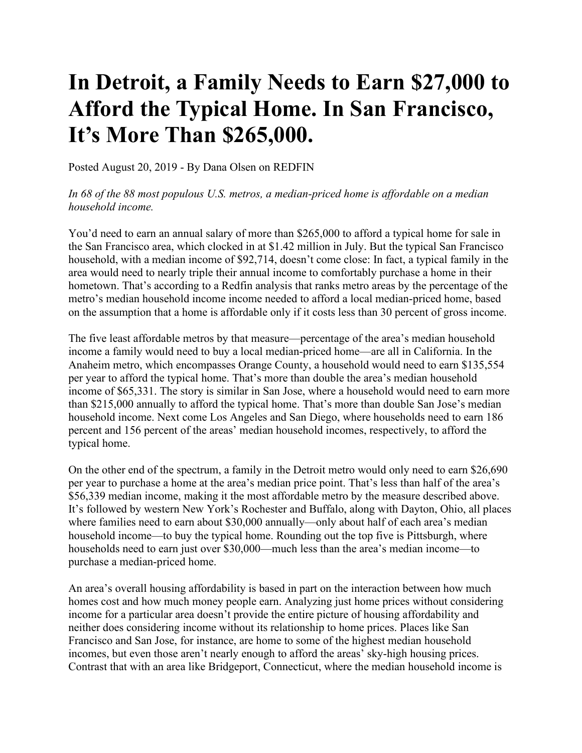## **In Detroit, a Family Needs to Earn \$27,000 to Afford the Typical Home. In San Francisco, It's More Than \$265,000.**

Posted August 20, 2019 - By Dana Olsen on REDFIN

## *In 68 of the 88 most populous U.S. metros, a median-priced home is affordable on a median household income.*

You'd need to earn an annual salary of more than \$265,000 to afford a typical home for sale in the San Francisco area, which clocked in at \$1.42 million in July. But the typical San Francisco household, with a median income of \$92,714, doesn't come close: In fact, a typical family in the area would need to nearly triple their annual income to comfortably purchase a home in their hometown. That's according to a Redfin analysis that ranks metro areas by the percentage of the metro's median household income income needed to afford a local median-priced home, based on the assumption that a home is affordable only if it costs less than 30 percent of gross income.

The five least affordable metros by that measure—percentage of the area's median household income a family would need to buy a local median-priced home—are all in California. In the Anaheim metro, which encompasses Orange County, a household would need to earn \$135,554 per year to afford the typical home. That's more than double the area's median household income of \$65,331. The story is similar in San Jose, where a household would need to earn more than \$215,000 annually to afford the typical home. That's more than double San Jose's median household income. Next come Los Angeles and San Diego, where households need to earn 186 percent and 156 percent of the areas' median household incomes, respectively, to afford the typical home.

On the other end of the spectrum, a family in the Detroit metro would only need to earn \$26,690 per year to purchase a home at the area's median price point. That's less than half of the area's \$56,339 median income, making it the most affordable metro by the measure described above. It's followed by western New York's Rochester and Buffalo, along with Dayton, Ohio, all places where families need to earn about \$30,000 annually—only about half of each area's median household income—to buy the typical home. Rounding out the top five is Pittsburgh, where households need to earn just over \$30,000—much less than the area's median income—to purchase a median-priced home.

An area's overall housing affordability is based in part on the interaction between how much homes cost and how much money people earn. Analyzing just home prices without considering income for a particular area doesn't provide the entire picture of housing affordability and neither does considering income without its relationship to home prices. Places like San Francisco and San Jose, for instance, are home to some of the highest median household incomes, but even those aren't nearly enough to afford the areas' sky-high housing prices. Contrast that with an area like Bridgeport, Connecticut, where the median household income is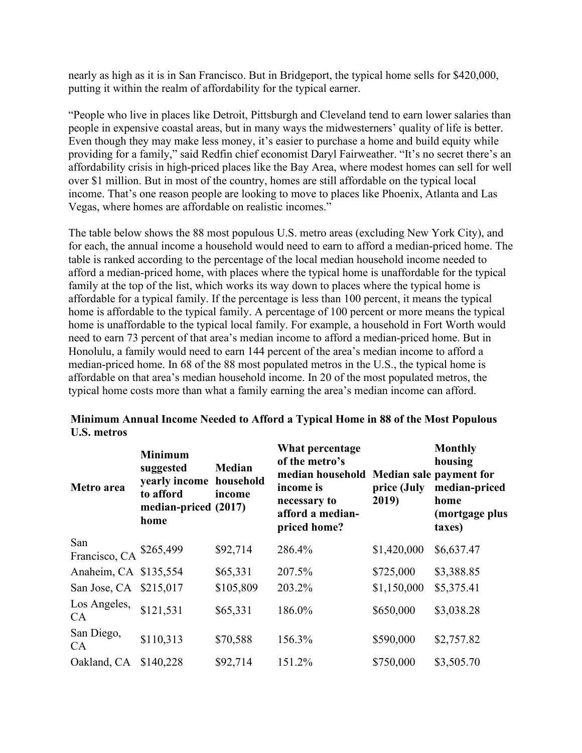nearly as high as it is in San Francisco. But in Bridgeport, the typical home sells for \$420,000, putting it within the realm of affordability for the typical earner.

"People who live in places like Detroit, Pittsburgh and Cleveland tend to earn lower salaries than people in expensive coastal areas, but in many ways the midwesterners' quality of life is better. Even though they may make less money, it's easier to purchase a home and build equity while providing for a family," said Redfin chief economist Daryl Fairweather. "It's no secret there's an affordability crisis in high-priced places like the Bay Area, where modest homes can sell for well over \$1 million. But in most of the country, homes are still affordable on the typical local income. That's one reason people are looking to move to places like Phoenix, Atlanta and Las Vegas, where homes are affordable on realistic incomes."

The table below shows the 88 most populous U.S. metro areas (excluding New York City), and for each, the annual income a household would need to earn to afford a median-priced home. The table is ranked according to the percentage of the local median household income needed to afford a median-priced home, with places where the typical home is unaffordable for the typical family at the top of the list, which works its way down to places where the typical home is affordable for a typical family. If the percentage is less than 100 percent, it means the typical home is affordable to the typical family. A percentage of 100 percent or more means the typical home is unaffordable to the typical local family. For example, a household in Fort Worth would need to earn 73 percent of that area's median income to afford a median-priced home. But in Honolulu, a family would need to earn 144 percent of the area's median income to afford a median-priced home. In 68 of the 88 most populated metros in the U.S., the typical home is affordable on that area's median household income. In 20 of the most populated metros, the typical home costs more than what a family earning the area's median income can afford.

| Metro area                     | <b>Minimum</b><br>suggested<br>yearly income household<br>to afford<br>median-priced (2017)<br>home | <b>Median</b><br>income | What percentage<br>of the metro's<br>median household Median sale payment for<br>income is<br>necessary to<br>afford a median-<br>priced home? | price (July<br>2019) | <b>Monthly</b><br>housing<br>median-priced<br>home<br>(mortgage plus<br>taxes) |
|--------------------------------|-----------------------------------------------------------------------------------------------------|-------------------------|------------------------------------------------------------------------------------------------------------------------------------------------|----------------------|--------------------------------------------------------------------------------|
| San<br>Francisco, CA \$265,499 |                                                                                                     | \$92,714                | 286.4%                                                                                                                                         | \$1,420,000          | \$6,637.47                                                                     |
| Anaheim, CA \$135,554          |                                                                                                     | \$65,331                | 207.5%                                                                                                                                         | \$725,000            | \$3,388.85                                                                     |
| San Jose, CA \$215,017         |                                                                                                     | \$105,809               | 203.2%                                                                                                                                         | \$1,150,000          | \$5,375.41                                                                     |
| Los Angeles,<br>CA             | \$121,531                                                                                           | \$65,331                | 186.0%                                                                                                                                         | \$650,000            | \$3,038.28                                                                     |
| San Diego,<br>CA               | \$110,313                                                                                           | \$70,588                | 156.3%                                                                                                                                         | \$590,000            | \$2,757.82                                                                     |
| Oakland, CA                    | \$140,228                                                                                           | \$92,714                | 151.2%                                                                                                                                         | \$750,000            | \$3,505.70                                                                     |

## **Minimum Annual Income Needed to Afford a Typical Home in 88 of the Most Populous U.S. metros**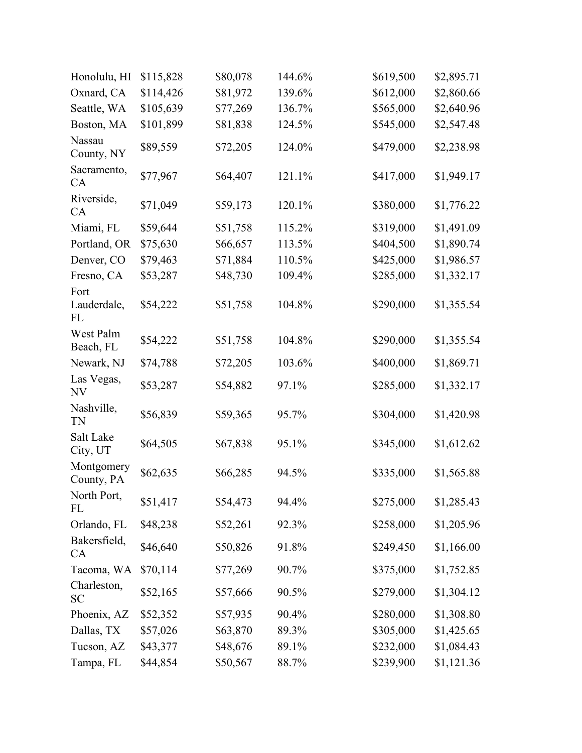| Honolulu, HI              | \$115,828 | \$80,078 | 144.6% | \$619,500 | \$2,895.71 |
|---------------------------|-----------|----------|--------|-----------|------------|
| Oxnard, CA                | \$114,426 | \$81,972 | 139.6% | \$612,000 | \$2,860.66 |
| Seattle, WA               | \$105,639 | \$77,269 | 136.7% | \$565,000 | \$2,640.96 |
| Boston, MA                | \$101,899 | \$81,838 | 124.5% | \$545,000 | \$2,547.48 |
| Nassau<br>County, NY      | \$89,559  | \$72,205 | 124.0% | \$479,000 | \$2,238.98 |
| Sacramento,<br>CA         | \$77,967  | \$64,407 | 121.1% | \$417,000 | \$1,949.17 |
| Riverside,<br>CA          | \$71,049  | \$59,173 | 120.1% | \$380,000 | \$1,776.22 |
| Miami, FL                 | \$59,644  | \$51,758 | 115.2% | \$319,000 | \$1,491.09 |
| Portland, OR              | \$75,630  | \$66,657 | 113.5% | \$404,500 | \$1,890.74 |
| Denver, CO                | \$79,463  | \$71,884 | 110.5% | \$425,000 | \$1,986.57 |
| Fresno, CA<br>Fort        | \$53,287  | \$48,730 | 109.4% | \$285,000 | \$1,332.17 |
| Lauderdale,<br>FL         | \$54,222  | \$51,758 | 104.8% | \$290,000 | \$1,355.54 |
| West Palm<br>Beach, FL    | \$54,222  | \$51,758 | 104.8% | \$290,000 | \$1,355.54 |
| Newark, NJ                | \$74,788  | \$72,205 | 103.6% | \$400,000 | \$1,869.71 |
| Las Vegas,<br>NV          | \$53,287  | \$54,882 | 97.1%  | \$285,000 | \$1,332.17 |
| Nashville,<br><b>TN</b>   | \$56,839  | \$59,365 | 95.7%  | \$304,000 | \$1,420.98 |
| Salt Lake<br>City, UT     | \$64,505  | \$67,838 | 95.1%  | \$345,000 | \$1,612.62 |
| Montgomery<br>County, PA  | \$62,635  | \$66,285 | 94.5%  | \$335,000 | \$1,565.88 |
| North Port,<br>FL         | \$51,417  | \$54,473 | 94.4%  | \$275,000 | \$1,285.43 |
| Orlando, FL               | \$48,238  | \$52,261 | 92.3%  | \$258,000 | \$1,205.96 |
| Bakersfield,<br><b>CA</b> | \$46,640  | \$50,826 | 91.8%  | \$249,450 | \$1,166.00 |
| Tacoma, WA                | \$70,114  | \$77,269 | 90.7%  | \$375,000 | \$1,752.85 |
| Charleston,<br><b>SC</b>  | \$52,165  | \$57,666 | 90.5%  | \$279,000 | \$1,304.12 |
| Phoenix, AZ               | \$52,352  | \$57,935 | 90.4%  | \$280,000 | \$1,308.80 |
| Dallas, TX                | \$57,026  | \$63,870 | 89.3%  | \$305,000 | \$1,425.65 |
| Tucson, AZ                | \$43,377  | \$48,676 | 89.1%  | \$232,000 | \$1,084.43 |
| Tampa, FL                 | \$44,854  | \$50,567 | 88.7%  | \$239,900 | \$1,121.36 |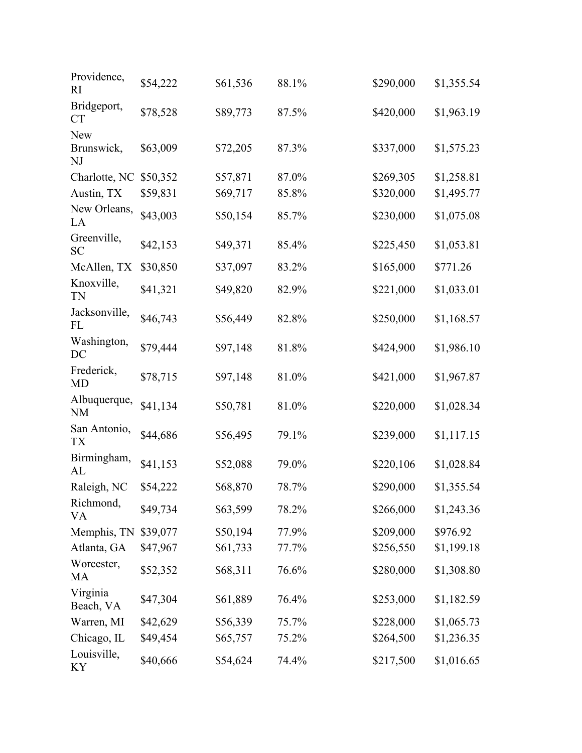| Providence,<br><sub>RI</sub>   | \$54,222 | \$61,536 | 88.1% | \$290,000 | \$1,355.54 |
|--------------------------------|----------|----------|-------|-----------|------------|
| Bridgeport,<br><b>CT</b>       | \$78,528 | \$89,773 | 87.5% | \$420,000 | \$1,963.19 |
| <b>New</b><br>Brunswick,<br>NJ | \$63,009 | \$72,205 | 87.3% | \$337,000 | \$1,575.23 |
| Charlotte, NC                  | \$50,352 | \$57,871 | 87.0% | \$269,305 | \$1,258.81 |
| Austin, TX                     | \$59,831 | \$69,717 | 85.8% | \$320,000 | \$1,495.77 |
| New Orleans,<br>LA             | \$43,003 | \$50,154 | 85.7% | \$230,000 | \$1,075.08 |
| Greenville,<br><b>SC</b>       | \$42,153 | \$49,371 | 85.4% | \$225,450 | \$1,053.81 |
| McAllen, TX                    | \$30,850 | \$37,097 | 83.2% | \$165,000 | \$771.26   |
| Knoxville,<br><b>TN</b>        | \$41,321 | \$49,820 | 82.9% | \$221,000 | \$1,033.01 |
| Jacksonville,<br>FL            | \$46,743 | \$56,449 | 82.8% | \$250,000 | \$1,168.57 |
| Washington,<br>DC              | \$79,444 | \$97,148 | 81.8% | \$424,900 | \$1,986.10 |
| Frederick,<br><b>MD</b>        | \$78,715 | \$97,148 | 81.0% | \$421,000 | \$1,967.87 |
| Albuquerque,<br><b>NM</b>      | \$41,134 | \$50,781 | 81.0% | \$220,000 | \$1,028.34 |
| San Antonio,<br><b>TX</b>      | \$44,686 | \$56,495 | 79.1% | \$239,000 | \$1,117.15 |
| Birmingham,<br>AL              | \$41,153 | \$52,088 | 79.0% | \$220,106 | \$1,028.84 |
| Raleigh, NC                    | \$54,222 | \$68,870 | 78.7% | \$290,000 | \$1,355.54 |
| Richmond,<br>VA                | \$49,734 | \$63,599 | 78.2% | \$266,000 | \$1,243.36 |
| Memphis, TN                    | \$39,077 | \$50,194 | 77.9% | \$209,000 | \$976.92   |
| Atlanta, GA                    | \$47,967 | \$61,733 | 77.7% | \$256,550 | \$1,199.18 |
| Worcester,<br>MA               | \$52,352 | \$68,311 | 76.6% | \$280,000 | \$1,308.80 |
| Virginia<br>Beach, VA          | \$47,304 | \$61,889 | 76.4% | \$253,000 | \$1,182.59 |
| Warren, MI                     | \$42,629 | \$56,339 | 75.7% | \$228,000 | \$1,065.73 |
| Chicago, IL                    | \$49,454 | \$65,757 | 75.2% | \$264,500 | \$1,236.35 |
| Louisville,<br>KY              | \$40,666 | \$54,624 | 74.4% | \$217,500 | \$1,016.65 |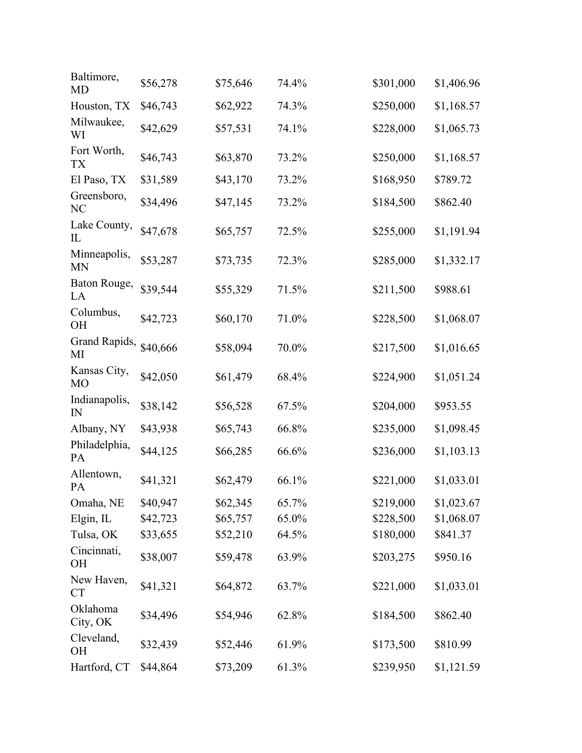| Baltimore,<br><b>MD</b>        | \$56,278 | \$75,646 | 74.4% | \$301,000 | \$1,406.96 |
|--------------------------------|----------|----------|-------|-----------|------------|
| Houston, TX                    | \$46,743 | \$62,922 | 74.3% | \$250,000 | \$1,168.57 |
| Milwaukee,<br>WI               | \$42,629 | \$57,531 | 74.1% | \$228,000 | \$1,065.73 |
| Fort Worth,<br><b>TX</b>       | \$46,743 | \$63,870 | 73.2% | \$250,000 | \$1,168.57 |
| El Paso, TX                    | \$31,589 | \$43,170 | 73.2% | \$168,950 | \$789.72   |
| Greensboro,<br>NC              | \$34,496 | \$47,145 | 73.2% | \$184,500 | \$862.40   |
| Lake County,<br>$_{\rm IL}$    | \$47,678 | \$65,757 | 72.5% | \$255,000 | \$1,191.94 |
| Minneapolis,<br><b>MN</b>      | \$53,287 | \$73,735 | 72.3% | \$285,000 | \$1,332.17 |
| Baton Rouge,<br>LA             | \$39,544 | \$55,329 | 71.5% | \$211,500 | \$988.61   |
| Columbus,<br><b>OH</b>         | \$42,723 | \$60,170 | 71.0% | \$228,500 | \$1,068.07 |
| Grand Rapids,<br>MI            | \$40,666 | \$58,094 | 70.0% | \$217,500 | \$1,016.65 |
| Kansas City,<br>M <sub>O</sub> | \$42,050 | \$61,479 | 68.4% | \$224,900 | \$1,051.24 |
| Indianapolis,<br>IN            | \$38,142 | \$56,528 | 67.5% | \$204,000 | \$953.55   |
| Albany, NY                     | \$43,938 | \$65,743 | 66.8% | \$235,000 | \$1,098.45 |
| Philadelphia,<br><b>PA</b>     | \$44,125 | \$66,285 | 66.6% | \$236,000 | \$1,103.13 |
| Allentown,<br>PA               | \$41,321 | \$62,479 | 66.1% | \$221,000 | \$1,033.01 |
| Omaha, NE                      | \$40,947 | \$62,345 | 65.7% | \$219,000 | \$1,023.67 |
| Elgin, IL                      | \$42,723 | \$65,757 | 65.0% | \$228,500 | \$1,068.07 |
| Tulsa, OK                      | \$33,655 | \$52,210 | 64.5% | \$180,000 | \$841.37   |
| Cincinnati,<br><b>OH</b>       | \$38,007 | \$59,478 | 63.9% | \$203,275 | \$950.16   |
| New Haven,<br><b>CT</b>        | \$41,321 | \$64,872 | 63.7% | \$221,000 | \$1,033.01 |
| Oklahoma<br>City, OK           | \$34,496 | \$54,946 | 62.8% | \$184,500 | \$862.40   |
| Cleveland,<br><b>OH</b>        | \$32,439 | \$52,446 | 61.9% | \$173,500 | \$810.99   |
| Hartford, CT                   | \$44,864 | \$73,209 | 61.3% | \$239,950 | \$1,121.59 |